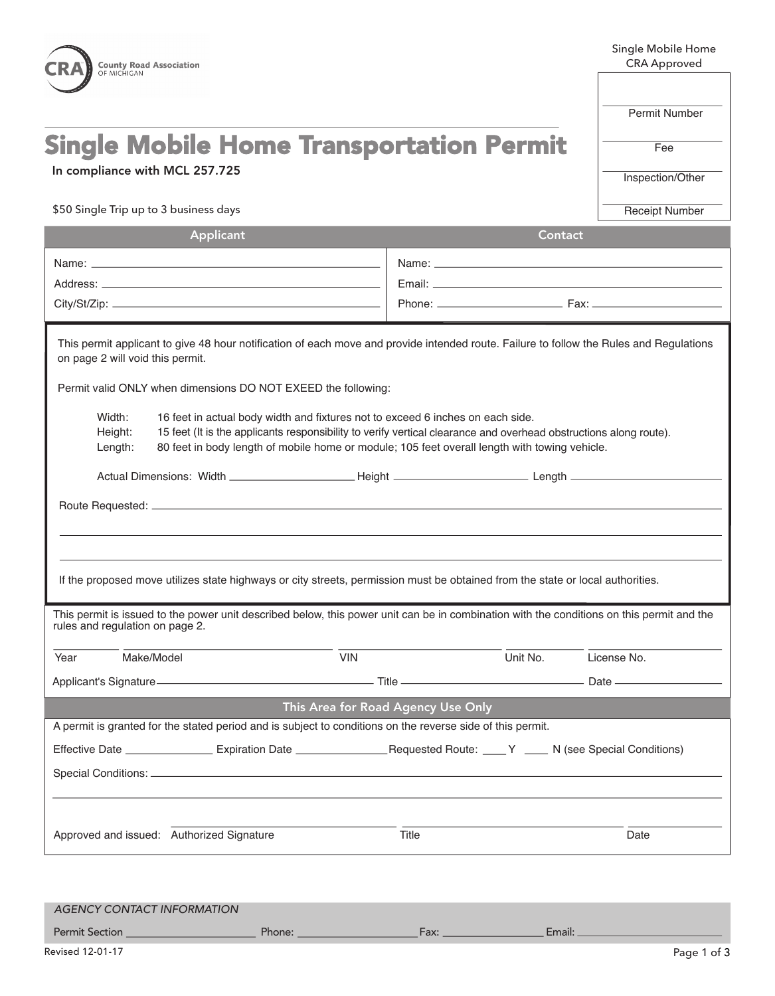| <b>County Road Association</b><br>OF MICHIGAN                                                                                                                                                                                                                                                                                                                                                         |               | Single Mobile Home<br><b>CRA Approved</b> |  |  |  |
|-------------------------------------------------------------------------------------------------------------------------------------------------------------------------------------------------------------------------------------------------------------------------------------------------------------------------------------------------------------------------------------------------------|---------------|-------------------------------------------|--|--|--|
| OCEANA COUNTY ROAD COMMISSION                                                                                                                                                                                                                                                                                                                                                                         | Permit Number |                                           |  |  |  |
| <b>Single Mobile Home Transportation Permit</b><br>In compliance with MCL 257.725                                                                                                                                                                                                                                                                                                                     |               | Fee<br>Inspection/Other                   |  |  |  |
| \$50 Single Trip up to 3 business days                                                                                                                                                                                                                                                                                                                                                                |               | <b>Receipt Number</b>                     |  |  |  |
| Applicant                                                                                                                                                                                                                                                                                                                                                                                             |               | Contact                                   |  |  |  |
|                                                                                                                                                                                                                                                                                                                                                                                                       |               |                                           |  |  |  |
| This permit applicant to give 48 hour notification of each move and provide intended route. Failure to follow the Rules and Regulations<br>on page 2 will void this permit.                                                                                                                                                                                                                           |               |                                           |  |  |  |
| Permit valid ONLY when dimensions DO NOT EXEED the following:<br>Width:<br>16 feet in actual body width and fixtures not to exceed 6 inches on each side.<br>15 feet (It is the applicants responsibility to verify vertical clearance and overhead obstructions along route).<br>Height:<br>80 feet in body length of mobile home or module; 105 feet overall length with towing vehicle.<br>Length: |               |                                           |  |  |  |
| If the proposed move utilizes state highways or city streets, permission must be obtained from the state or local authorities.                                                                                                                                                                                                                                                                        |               |                                           |  |  |  |
| This permit is issued to the power unit described below, this power unit can be in combination with the conditions on this permit and the<br>rules and regulation on page 2.                                                                                                                                                                                                                          |               |                                           |  |  |  |
| Make/Model<br><b>VIN</b><br>Year                                                                                                                                                                                                                                                                                                                                                                      | Unit No.      | License No.                               |  |  |  |
| Applicant's Signature-<br>Applicant's Signature-<br>Applicant's Signature-                                                                                                                                                                                                                                                                                                                            |               |                                           |  |  |  |
| This Area for Road Agency Use Only                                                                                                                                                                                                                                                                                                                                                                    |               |                                           |  |  |  |
| A permit is granted for the stated period and is subject to conditions on the reverse side of this permit.                                                                                                                                                                                                                                                                                            |               |                                           |  |  |  |
|                                                                                                                                                                                                                                                                                                                                                                                                       |               |                                           |  |  |  |
|                                                                                                                                                                                                                                                                                                                                                                                                       |               |                                           |  |  |  |
| Approved and issued: Authorized Signature                                                                                                                                                                                                                                                                                                                                                             | Title         | Date                                      |  |  |  |

| <b>AGENCY CONTACT INFORMATION</b> |        |               |        |
|-----------------------------------|--------|---------------|--------|
| <b>Permit Section</b>             | Phone: | $\exists$ ax: | Email: |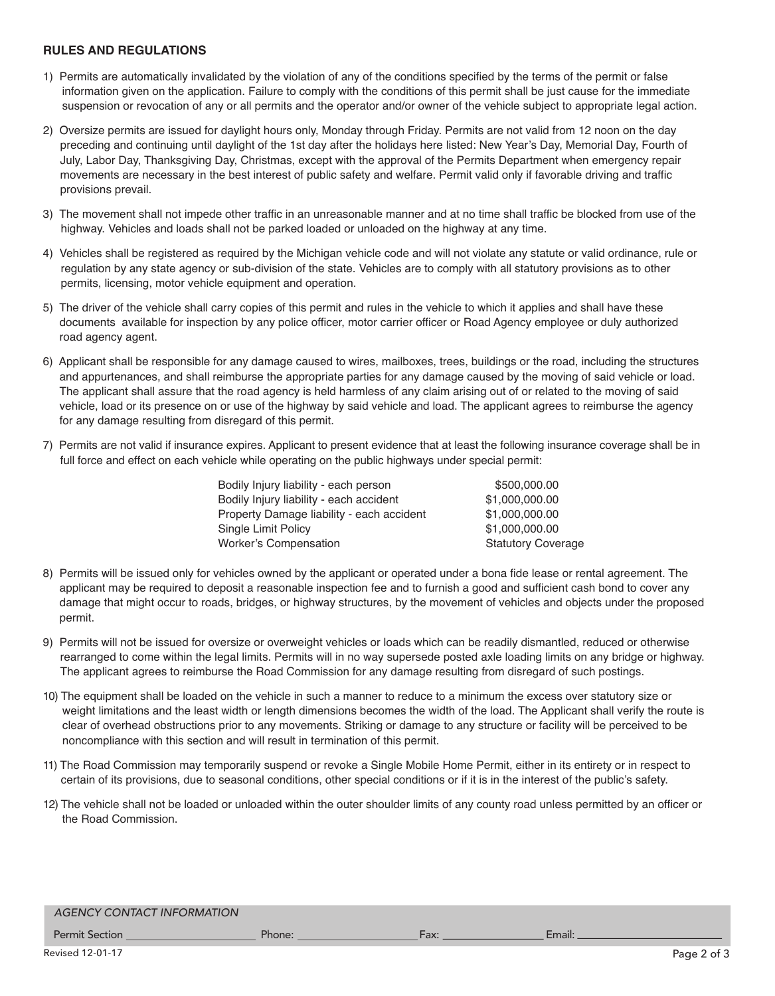## **RULES AND REGULATIONS**

- 1) Permits are automatically invalidated by the violation of any of the conditions specified by the terms of the permit or false information given on the application. Failure to comply with the conditions of this permit shall be just cause for the immediate suspension or revocation of any or all permits and the operator and/or owner of the vehicle subject to appropriate legal action.
- 2) Oversize permits are issued for daylight hours only, Monday through Friday. Permits are not valid from 12 noon on the day preceding and continuing until daylight of the 1st day after the holidays here listed: New Year's Day, Memorial Day, Fourth of July, Labor Day, Thanksgiving Day, Christmas, except with the approval of the Permits Department when emergency repair movements are necessary in the best interest of public safety and welfare. Permit valid only if favorable driving and traffic provisions prevail.
- 3) The movement shall not impede other traffic in an unreasonable manner and at no time shall traffic be blocked from use of the highway. Vehicles and loads shall not be parked loaded or unloaded on the highway at any time.
- 4) Vehicles shall be registered as required by the Michigan vehicle code and will not violate any statute or valid ordinance, rule or regulation by any state agency or sub-division of the state. Vehicles are to comply with all statutory provisions as to other permits, licensing, motor vehicle equipment and operation.
- 5) The driver of the vehicle shall carry copies of this permit and rules in the vehicle to which it applies and shall have these documents available for inspection by any police officer, motor carrier officer or Road Agency employee or duly authorized road agency agent.
- 6) Applicant shall be responsible for any damage caused to wires, mailboxes, trees, buildings or the road, including the structures and appurtenances, and shall reimburse the appropriate parties for any damage caused by the moving of said vehicle or load. The applicant shall assure that the road agency is held harmless of any claim arising out of or related to the moving of said vehicle, load or its presence on or use of the highway by said vehicle and load. The applicant agrees to reimburse the agency for any damage resulting from disregard of this permit.
- 7) Permits are not valid if insurance expires. Applicant to present evidence that at least the following insurance coverage shall be in full force and effect on each vehicle while operating on the public highways under special permit:

| Bodily Injury liability - each person     | \$500,000.00              |
|-------------------------------------------|---------------------------|
| Bodily Injury liability - each accident   | \$1,000,000.00            |
| Property Damage liability - each accident | \$1,000,000.00            |
| Single Limit Policy                       | \$1,000,000.00            |
| <b>Worker's Compensation</b>              | <b>Statutory Coverage</b> |
|                                           |                           |

- 8) Permits will be issued only for vehicles owned by the applicant or operated under a bona fide lease or rental agreement. The applicant may be required to deposit a reasonable inspection fee and to furnish a good and sufficient cash bond to cover any damage that might occur to roads, bridges, or highway structures, by the movement of vehicles and objects under the proposed permit.
- 9) Permits will not be issued for oversize or overweight vehicles or loads which can be readily dismantled, reduced or otherwise rearranged to come within the legal limits. Permits will in no way supersede posted axle loading limits on any bridge or highway. The applicant agrees to reimburse the Road Commission for any damage resulting from disregard of such postings.
- 10) The equipment shall be loaded on the vehicle in such a manner to reduce to a minimum the excess over statutory size or weight limitations and the least width or length dimensions becomes the width of the load. The Applicant shall verify the route is clear of overhead obstructions prior to any movements. Striking or damage to any structure or facility will be perceived to be noncompliance with this section and will result in termination of this permit.
- 11) The Road Commission may temporarily suspend or revoke a Single Mobile Home Permit, either in its entirety or in respect to certain of its provisions, due to seasonal conditions, other special conditions or if it is in the interest of the public's safety.
- 12) The vehicle shall not be loaded or unloaded within the outer shoulder limits of any county road unless permitted by an officer or the Road Commission.

## AGENCY CONTACT INFORMATION

Permit Section **Example 2018** Phone: **Phone: Fax: Email:** Email: Email: